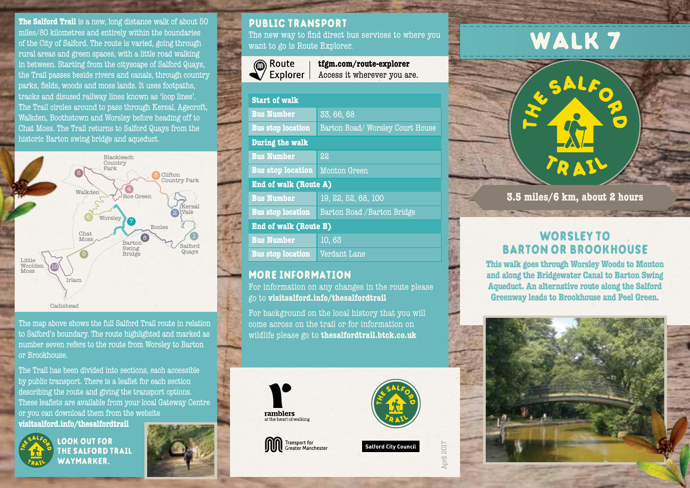**The Salford Trail** is a new, long distance walk of about 50 miles/80 kilometres and entirely within the boundaries of the City of Salford. The route is varied, going through rural areas and green spaces, with a little road walking in between. Starting from the cityscape of Salford Quays, the Trail passes beside rivers and canals, through country parks, fields, woods and moss lands. It uses footpaths, tracks and disused railway lines known as 'loop lines'. The Trail circles around to pass through Kersal, Agecroft, Walkden, Boothstown and Worsley before heading off to Chat Moss. The Trail returns to Salford Quays from the historic Barton swing bridge and aqueduct.



The map above shows the full Salford Trail route in relation to Salford's boundary. The route highlighted and marked as number seven refers to the route from Worsley to Barton or Brookhouse.

The Trail has been divided into sections, each accessible by public transport. There is a leaflet for each section describing the route and giving the transport options. These leaflets are available from your local Gateway Centre or you can download them from the website **visitsalford.info/thesalfordtrail**



look out for the salford trail waymarker.



## public transport

The new way to find direct bus services to where you want to go is Route Explorer.



**tfgm.com/route-explorer** Access it wherever you are.

| <b>Start of walk</b>         |                                 |
|------------------------------|---------------------------------|
| <b>Bus Number</b>            | 33, 66, 68                      |
| <b>Bus stop location</b>     | Barton Road/Worsley Court House |
| During the walk              |                                 |
| <b>Bus Number</b>            | 22                              |
| <b>Bus stop location</b>     | Monton Green                    |
| <b>End of walk (Route A)</b> |                                 |
| <b>Bus Number</b>            | 19, 22, 52, 68, 100             |
| <b>Bus stop location</b>     | Barton Road / Barton Bridge     |
| <b>End of walk (Route B)</b> |                                 |
| <b>Bus Number</b>            | 10, 63                          |
| <b>Bus stop location</b>     | Verdant Lane                    |
|                              |                                 |

## more information

For information on any changes in the route please go to **visitsalford.info/thesalfordtrail**

For background on the local history that you will come across on the trail or for information on wildlife please go to **thesalfordtrail.btck.co.uk**









April 2017

# WALK<sub>7</sub>

**TRASH 3.5 miles/6 km, about 2 hours**

## worsley to barton or brookhouse

**This walk goes through Worsley Woods to Monton and along the Bridgewater Canal to Barton Swing Aqueduct. An alternative route along the Salford Greenway leads to Brookhouse and Peel Green.**